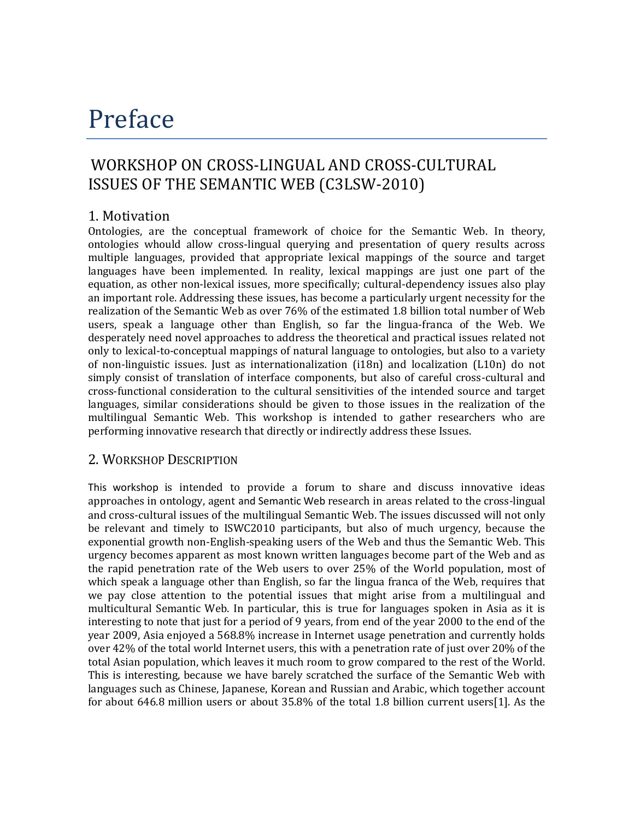# Preface

## WORKSHOP ON CROSS-LINGUAL AND CROSS-CULTURAL ISSUES OF THE SEMANTIC WEB (C3LSW-2010)

### 1. Motivation

Ontologies, are the conceptual framework of choice for the Semantic Web. In theory, ontologies whould allow cross-lingual querying and presentation of query results across multiple languages, provided that appropriate lexical mappings of the source and target languages have been implemented. In reality, lexical mappings are just one part of the equation, as other non-lexical issues, more specifically; cultural-dependency issues also play an important role. Addressing these issues, has become a particularly urgent necessity for the realization of the Semantic Web as over 76% of the estimated 1.8 billion total number of Web users, speak a language other than English, so far the lingua-franca of the Web. We desperately need novel approaches to address the theoretical and practical issues related not only to lexical-to-conceptual mappings of natural language to ontologies, but also to a variety of non-linguistic issues. Just as internationalization (i18n) and localization (L10n) do not simply consist of translation of interface components, but also of careful cross-cultural and cross-functional consideration to the cultural sensitivities of the intended source and target languages, similar considerations should be given to those issues in the realization of the multilingual Semantic Web. This workshop is intended to gather researchers who are performing innovative research that directly or indirectly address these Issues.

### 2. WORKSHOP DESCRIPTION

This workshop is intended to provide a forum to share and discuss innovative ideas approaches in ontology, agent and Semantic Web research in areas related to the cross-lingual and cross-cultural issues of the multilingual Semantic Web. The issues discussed will not only be relevant and timely to ISWC2010 participants, but also of much urgency, because the exponential growth non-English-speaking users of the Web and thus the Semantic Web. This urgency becomes apparent as most known written languages become part of the Web and as the rapid penetration rate of the Web users to over 25% of the World population, most of which speak a language other than English, so far the lingua franca of the Web, requires that we pay close attention to the potential issues that might arise from a multilingual and multicultural Semantic Web. In particular, this is true for languages spoken in Asia as it is interesting to note that just for a period of 9 years, from end of the year 2000 to the end of the year 2009, Asia enjoyed a 568.8% increase in Internet usage penetration and currently holds over 42% of the total world Internet users, this with a penetration rate of just over 20% of the total Asian population, which leaves it much room to grow compared to the rest of the World. This is interesting, because we have barely scratched the surface of the Semantic Web with languages such as Chinese, Japanese, Korean and Russian and Arabic, which together account for about 646.8 million users or about 35.8% of the total 1.8 billion current users[1]. As the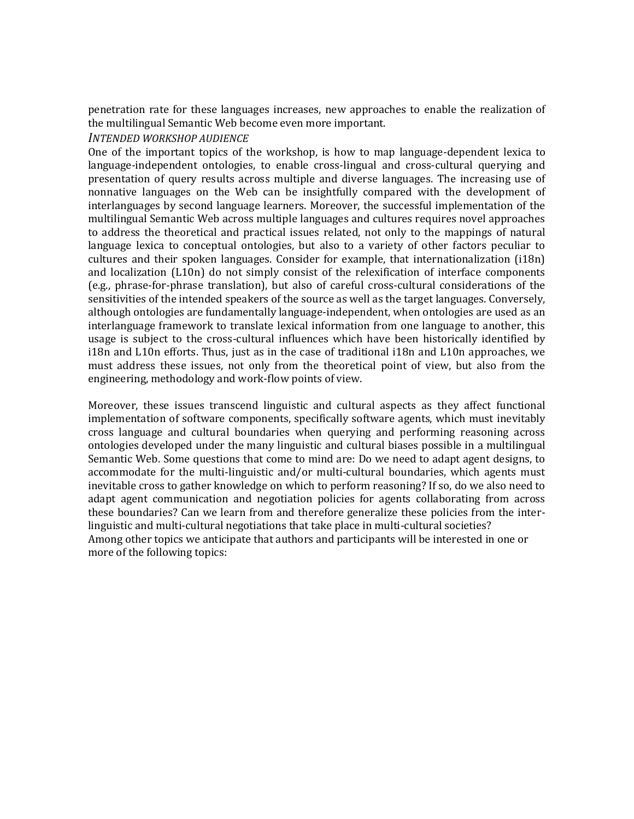penetration rate for these languages increases, new approaches to enable the realization of the multilingual Semantic Web become even more important.

#### *INTENDED WORKSHOP AUDIENCE*

One of the important topics of the workshop, is how to map language-dependent lexica to language-independent ontologies, to enable cross-lingual and cross-cultural querying and presentation of query results across multiple and diverse languages. The increasing use of nonnative languages on the Web can be insightfully compared with the development of interlanguages by second language learners. Moreover, the successful implementation of the multilingual Semantic Web across multiple languages and cultures requires novel approaches to address the theoretical and practical issues related, not only to the mappings of natural language lexica to conceptual ontologies, but also to a variety of other factors peculiar to cultures and their spoken languages. Consider for example, that internationalization (i18n) and localization (L10n) do not simply consist of the relexification of interface components (e.g., phrase-for-phrase translation), but also of careful cross-cultural considerations of the sensitivities of the intended speakers of the source as well as the target languages. Conversely, although ontologies are fundamentally language-independent, when ontologies are used as an interlanguage framework to translate lexical information from one language to another, this usage is subject to the cross-cultural influences which have been historically identified by i18n and L10n efforts. Thus, just as in the case of traditional i18n and L10n approaches, we must address these issues, not only from the theoretical point of view, but also from the engineering, methodology and work-flow points of view.

Moreover, these issues transcend linguistic and cultural aspects as they affect functional implementation of software components, specifically software agents, which must inevitably cross language and cultural boundaries when querying and performing reasoning across ontologies developed under the many linguistic and cultural biases possible in a multilingual Semantic Web. Some questions that come to mind are: Do we need to adapt agent designs, to accommodate for the multi-linguistic and/or multi-cultural boundaries, which agents must inevitable cross to gather knowledge on which to perform reasoning? If so, do we also need to adapt agent communication and negotiation policies for agents collaborating from across these boundaries? Can we learn from and therefore generalize these policies from the interlinguistic and multi-cultural negotiations that take place in multi-cultural societies? Among other topics we anticipate that authors and participants will be interested in one or more of the following topics: